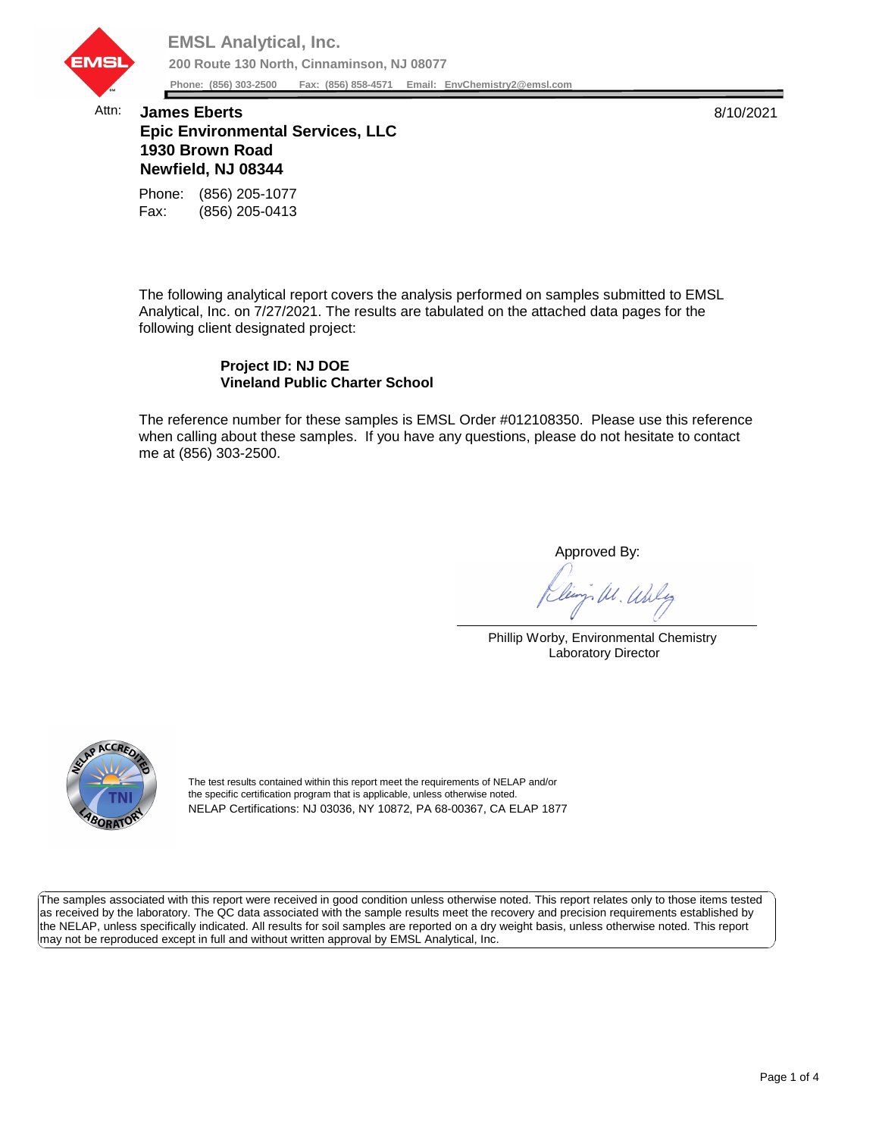

## Attn: **James Eberts** 8/10/2021 **Epic Environmental Services, LLC 1930 Brown Road Newfield, NJ 08344**

Fax: (856) 205-0413 Phone: (856) 205-1077

The following analytical report covers the analysis performed on samples submitted to EMSL Analytical, Inc. on 7/27/2021. The results are tabulated on the attached data pages for the following client designated project:

## **Project ID: NJ DOE Vineland Public Charter School**

The reference number for these samples is EMSL Order #012108350. Please use this reference when calling about these samples. If you have any questions, please do not hesitate to contact me at (856) 303-2500.

Approved By:

W. Whly

Phillip Worby, Environmental Chemistry Laboratory Director



The test results contained within this report meet the requirements of NELAP and/or the specific certification program that is applicable, unless otherwise noted. NELAP Certifications: NJ 03036, NY 10872, PA 68-00367, CA ELAP 1877

The samples associated with this report were received in good condition unless otherwise noted. This report relates only to those items tested as received by the laboratory. The QC data associated with the sample results meet the recovery and precision requirements established by the NELAP, unless specifically indicated. All results for soil samples are reported on a dry weight basis, unless otherwise noted. This report may not be reproduced except in full and without written approval by EMSL Analytical, Inc.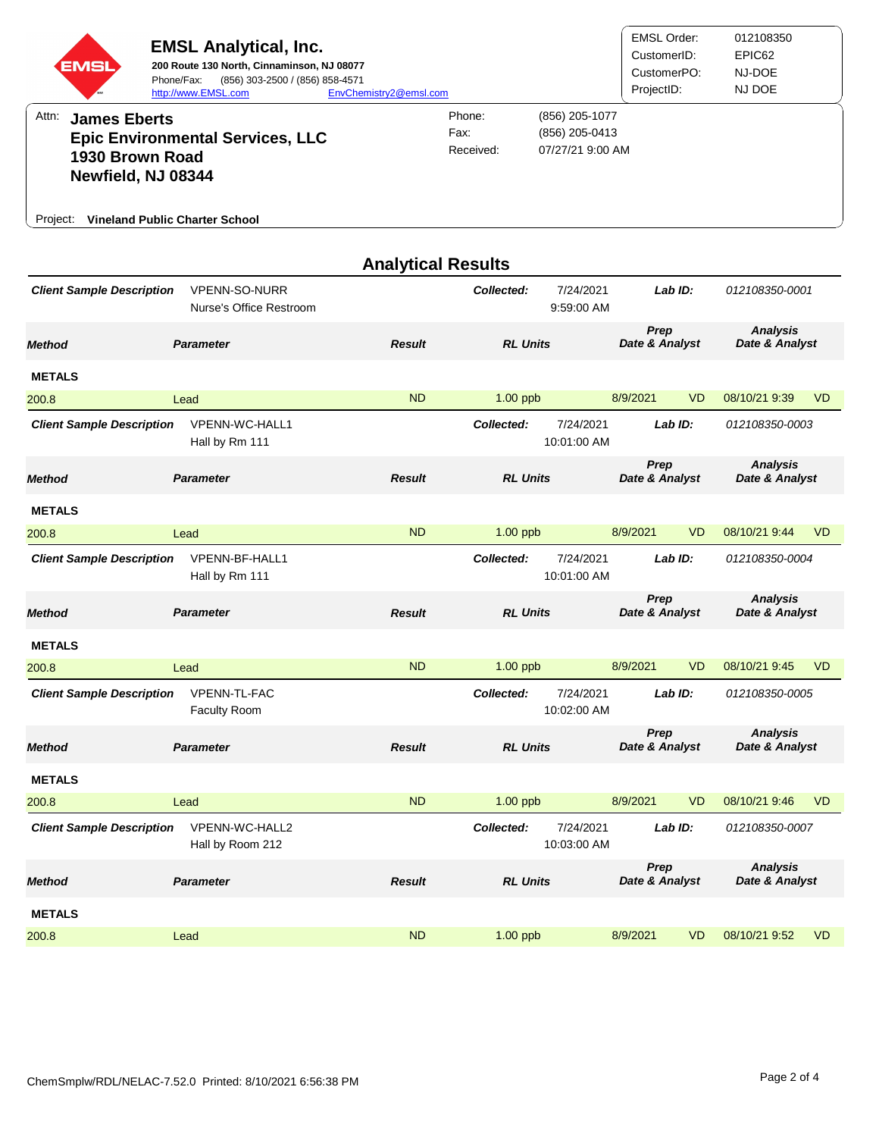| EMSI                                                                                                                                                                  | <b>EMSL Analytical, Inc.</b><br>200 Route 130 North, Cinnaminson, NJ 08077<br>Phone/Fax:<br>(856) 303-2500 / (856) 858-4571<br>http://www.EMSL.com | EnvChemistry2@emsl.com      |                                                      |                          | <b>EMSL Order:</b><br>CustomerID:<br>CustomerPO:<br>ProjectID: |           | 012108350<br>EPIC62<br>NJ-DOE<br>NJ DOE |                |
|-----------------------------------------------------------------------------------------------------------------------------------------------------------------------|----------------------------------------------------------------------------------------------------------------------------------------------------|-----------------------------|------------------------------------------------------|--------------------------|----------------------------------------------------------------|-----------|-----------------------------------------|----------------|
| Attn:<br><b>James Eberts</b><br><b>Epic Environmental Services, LLC</b><br>1930 Brown Road<br>Newfield, NJ 08344<br><b>Vineland Public Charter School</b><br>Project: |                                                                                                                                                    | Phone:<br>Fax:<br>Received: | (856) 205-1077<br>(856) 205-0413<br>07/27/21 9:00 AM |                          |                                                                |           |                                         |                |
|                                                                                                                                                                       |                                                                                                                                                    | <b>Analytical Results</b>   |                                                      |                          |                                                                |           |                                         |                |
| <b>Client Sample Description</b>                                                                                                                                      | <b>VPENN-SO-NURR</b><br>Nurse's Office Restroom                                                                                                    |                             | Collected:                                           | 7/24/2021<br>9:59:00 AM  | Lab ID:                                                        |           | 012108350-0001                          |                |
| <b>Method</b>                                                                                                                                                         | <b>Parameter</b>                                                                                                                                   | <b>Result</b>               | <b>RL Units</b>                                      |                          | Prep<br>Date & Analyst                                         |           | <b>Analysis</b><br>Date & Analyst       |                |
| <b>METALS</b>                                                                                                                                                         |                                                                                                                                                    |                             |                                                      |                          |                                                                |           |                                         |                |
| 200.8                                                                                                                                                                 | Lead                                                                                                                                               | <b>ND</b>                   | $1.00$ ppb                                           |                          | 8/9/2021                                                       | <b>VD</b> | 08/10/21 9:39                           | <b>VD</b>      |
| <b>Client Sample Description</b>                                                                                                                                      | VPENN-WC-HALL1<br>Hall by Rm 111                                                                                                                   |                             | Collected:                                           | 7/24/2021<br>10:01:00 AM | Lab ID:                                                        |           | 012108350-0003                          |                |
| <b>Method</b>                                                                                                                                                         | <b>Parameter</b>                                                                                                                                   | <b>Result</b>               | <b>RL Units</b>                                      |                          | Prep<br>Date & Analyst                                         |           | <b>Analysis</b><br>Date & Analyst       |                |
| <b>METALS</b>                                                                                                                                                         |                                                                                                                                                    |                             |                                                      |                          |                                                                |           |                                         |                |
| 200.8                                                                                                                                                                 | Lead                                                                                                                                               | <b>ND</b>                   | $1.00$ ppb                                           |                          | 8/9/2021                                                       | VD.       | 08/10/21 9:44                           | V <sub>D</sub> |
| <b>Client Sample Description</b>                                                                                                                                      | VPENN-BF-HALL1<br>Hall by Rm 111                                                                                                                   |                             | Collected:                                           | 7/24/2021<br>10:01:00 AM | Lab ID:                                                        |           | 012108350-0004                          |                |
| <b>Method</b>                                                                                                                                                         | <b>Parameter</b>                                                                                                                                   | <b>Result</b>               | <b>RL Units</b>                                      |                          | Prep<br>Date & Analyst                                         |           | <b>Analysis</b><br>Date & Analyst       |                |
| <b>METALS</b>                                                                                                                                                         |                                                                                                                                                    |                             |                                                      |                          |                                                                |           |                                         |                |
| 200.8                                                                                                                                                                 | Lead                                                                                                                                               | <b>ND</b>                   | 1.00 ppb                                             |                          | 8/9/2021                                                       | VD.       | 08/10/21 9:45                           | VD.            |
| <b>Client Sample Description</b>                                                                                                                                      | VPENN-TL-FAC<br><b>Faculty Room</b>                                                                                                                |                             | Collected:                                           | 7/24/2021<br>10:02:00 AM | Lab ID:                                                        |           | 012108350-0005                          |                |
| <b>Method</b>                                                                                                                                                         | <b>Parameter</b>                                                                                                                                   | <b>Result</b>               | <b>RL Units</b>                                      |                          | Prep<br>Date & Analyst                                         |           | <b>Analysis</b><br>Date & Analyst       |                |
| <b>METALS</b>                                                                                                                                                         |                                                                                                                                                    |                             |                                                      |                          |                                                                |           |                                         |                |
| 200.8                                                                                                                                                                 | Lead                                                                                                                                               | <b>ND</b>                   | $1.00$ ppb                                           |                          | 8/9/2021                                                       | <b>VD</b> | 08/10/21 9:46                           | <b>VD</b>      |
| <b>Client Sample Description</b>                                                                                                                                      | VPENN-WC-HALL2<br>Hall by Room 212                                                                                                                 |                             | Collected:                                           | 7/24/2021<br>10:03:00 AM | Lab ID:                                                        |           | 012108350-0007                          |                |
| <b>Method</b>                                                                                                                                                         | <b>Parameter</b>                                                                                                                                   | <b>Result</b>               | <b>RL Units</b>                                      |                          | Prep<br>Date & Analyst                                         |           | <b>Analysis</b><br>Date & Analyst       |                |
| <b>METALS</b>                                                                                                                                                         |                                                                                                                                                    |                             |                                                      |                          |                                                                |           |                                         |                |
| 200.8                                                                                                                                                                 | Lead                                                                                                                                               | <b>ND</b>                   | 1.00 ppb                                             |                          | 8/9/2021                                                       | <b>VD</b> | 08/10/21 9:52                           | <b>VD</b>      |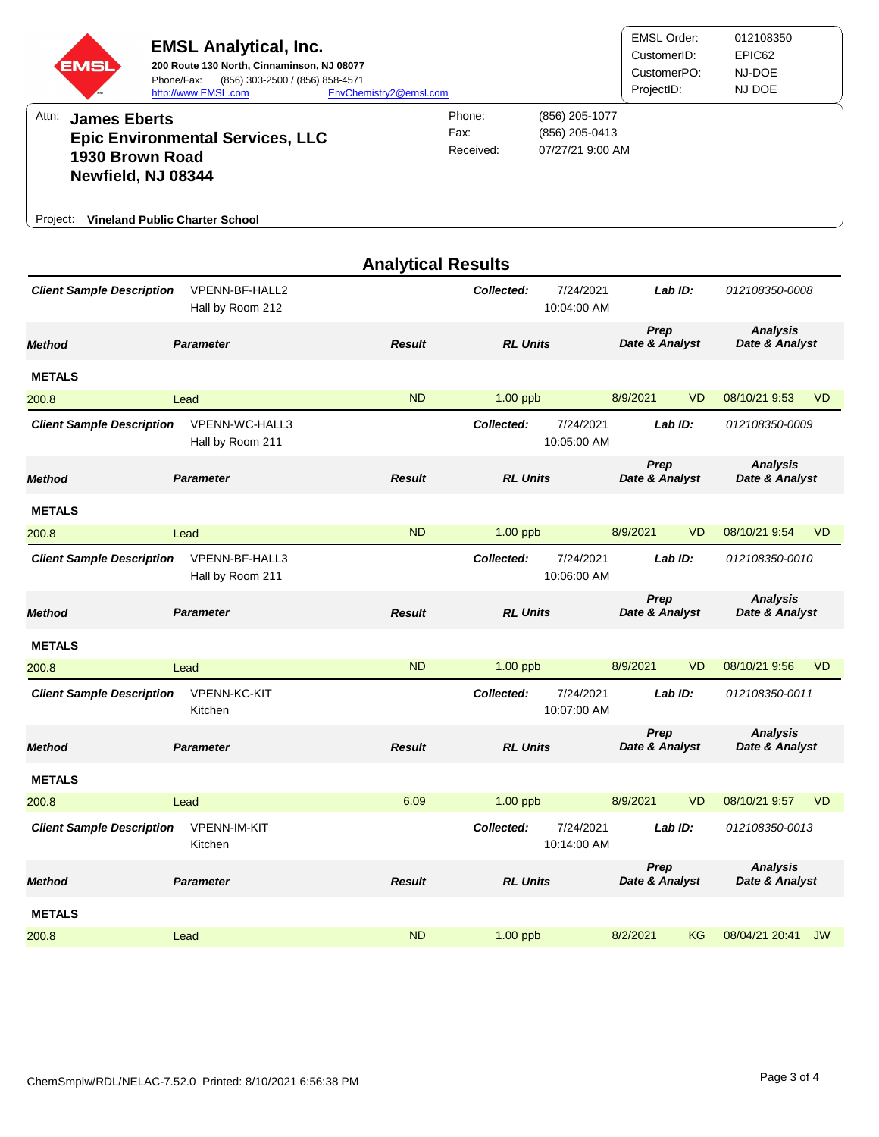| <b>EMSL Analytical, Inc.</b><br>200 Route 130 North, Cinnaminson, NJ 08077<br>EMS<br>Phone/Fax:<br>http://www.EMSL.com<br>Attn:<br><b>James Eberts</b><br><b>Epic Environmental Services, LLC</b><br>1930 Brown Road<br>Newfield, NJ 08344 | EnvChemistry2@emsl.com<br>Phone:<br>Fax:<br>Received: | (856) 205-1077<br>(856) 205-0413<br>07/27/21 9:00 AM | <b>EMSL Order:</b><br>CustomerID:<br>CustomerPO:<br>ProjectID: |                          | 012108350<br>EPIC62<br>NJ-DOE<br>NJ DOE |           |                                   |                |
|--------------------------------------------------------------------------------------------------------------------------------------------------------------------------------------------------------------------------------------------|-------------------------------------------------------|------------------------------------------------------|----------------------------------------------------------------|--------------------------|-----------------------------------------|-----------|-----------------------------------|----------------|
| Project:                                                                                                                                                                                                                                   | <b>Vineland Public Charter School</b>                 |                                                      |                                                                |                          |                                         |           |                                   |                |
|                                                                                                                                                                                                                                            |                                                       | <b>Analytical Results</b>                            |                                                                |                          |                                         |           |                                   |                |
| <b>Client Sample Description</b>                                                                                                                                                                                                           | VPENN-BF-HALL2<br>Hall by Room 212                    |                                                      | Collected:                                                     | 7/24/2021<br>10:04:00 AM | Lab ID:                                 |           | 012108350-0008                    |                |
| <b>Method</b>                                                                                                                                                                                                                              | <b>Parameter</b>                                      | <b>Result</b>                                        | <b>RL Units</b>                                                |                          | Prep<br>Date & Analyst                  |           | <b>Analysis</b><br>Date & Analyst |                |
| <b>METALS</b>                                                                                                                                                                                                                              |                                                       |                                                      |                                                                |                          |                                         |           |                                   |                |
| 200.8                                                                                                                                                                                                                                      | Lead                                                  | <b>ND</b>                                            | $1.00$ ppb                                                     |                          | 8/9/2021                                | VD.       | 08/10/21 9:53                     | V <sub>D</sub> |
| <b>Client Sample Description</b>                                                                                                                                                                                                           | VPENN-WC-HALL3<br>Hall by Room 211                    |                                                      | Collected:                                                     | 7/24/2021<br>10:05:00 AM | Lab ID:                                 |           | 012108350-0009                    |                |
| <b>Method</b>                                                                                                                                                                                                                              | <b>Parameter</b>                                      | <b>Result</b>                                        | <b>RL Units</b>                                                |                          | Prep<br>Date & Analyst                  |           | <b>Analysis</b><br>Date & Analyst |                |
| <b>METALS</b>                                                                                                                                                                                                                              |                                                       |                                                      |                                                                |                          |                                         |           |                                   |                |
| 200.8                                                                                                                                                                                                                                      | Lead                                                  | <b>ND</b>                                            | $1.00$ ppb                                                     |                          | 8/9/2021                                | <b>VD</b> | 08/10/21 9:54                     | <b>VD</b>      |
| <b>Client Sample Description</b>                                                                                                                                                                                                           | VPENN-BF-HALL3<br>Hall by Room 211                    |                                                      | Collected:                                                     | 7/24/2021<br>10:06:00 AM | Lab ID:                                 |           | 012108350-0010                    |                |
| <b>Method</b>                                                                                                                                                                                                                              | <b>Parameter</b>                                      | <b>Result</b>                                        | <b>RL Units</b>                                                |                          | Prep<br>Date & Analyst                  |           | <b>Analysis</b><br>Date & Analyst |                |
| <b>METALS</b>                                                                                                                                                                                                                              |                                                       |                                                      |                                                                |                          |                                         |           |                                   |                |
| 200.8                                                                                                                                                                                                                                      | Lead                                                  | ND                                                   | $1.00$ ppb                                                     |                          | 8/9/2021                                | <b>VD</b> | 08/10/21 9:56                     | VD             |
| <b>Client Sample Description</b>                                                                                                                                                                                                           | <b>VPENN-KC-KIT</b><br>Kitchen                        |                                                      | Collected:                                                     | 7/24/2021<br>10:07:00 AM | Lab ID:                                 |           | 012108350-0011                    |                |
| <b>Method</b>                                                                                                                                                                                                                              | <b>Parameter</b>                                      | <b>Result</b>                                        | <b>RL Units</b>                                                |                          | Prep<br>Date & Analyst                  |           | <b>Analysis</b><br>Date & Analyst |                |
| <b>METALS</b>                                                                                                                                                                                                                              |                                                       |                                                      |                                                                |                          |                                         |           |                                   |                |
| 200.8                                                                                                                                                                                                                                      | Lead                                                  | 6.09                                                 | $1.00$ ppb                                                     |                          | 8/9/2021                                | VD.       | 08/10/21 9:57                     | VD.            |
| <b>Client Sample Description</b>                                                                                                                                                                                                           | VPENN-IM-KIT<br>Kitchen                               |                                                      | Collected:                                                     | 7/24/2021<br>10:14:00 AM | Lab ID:                                 |           | 012108350-0013                    |                |
| <b>Method</b>                                                                                                                                                                                                                              | <b>Parameter</b>                                      | <b>Result</b>                                        | <b>RL Units</b>                                                |                          | Prep<br>Date & Analyst                  |           | <b>Analysis</b><br>Date & Analyst |                |
| <b>METALS</b>                                                                                                                                                                                                                              |                                                       |                                                      |                                                                |                          |                                         |           |                                   |                |
| 200.8                                                                                                                                                                                                                                      | Lead                                                  | <b>ND</b>                                            | $1.00$ ppb                                                     |                          | 8/2/2021                                | KG        | 08/04/21 20:41                    | <b>JW</b>      |